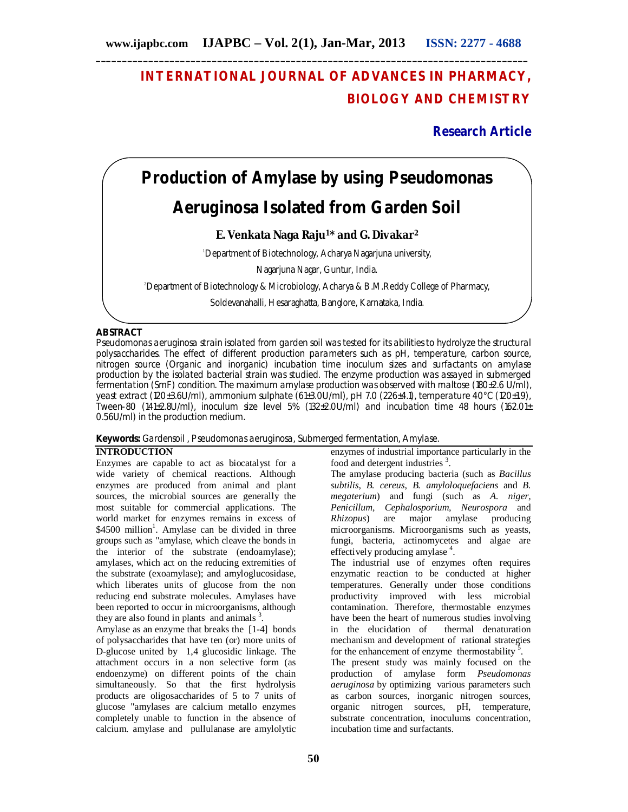## **INTERNATIONAL JOURNAL OF ADVANCES IN PHARMACY, BIOLOGY AND CHEMISTRY**

## **Research Article**

# **Production of Amylase by using** *Pseudomonas Aeruginosa* **Isolated from Garden Soil**

## **E. Venkata Naga Raju1\* and G. Divakar<sup>2</sup>**

<sup>1</sup>Department of Biotechnology, Acharya Nagarjuna university,

Nagarjuna Nagar, Guntur, India.

<sup>2</sup>Department of Biotechnology & Microbiology, Acharya & B.M.Reddy College of Pharmacy,

Soldevanahalli, Hesaraghatta, Banglore, Karnataka, India.

## **ABSTRACT**

*Pseudomonas aeruginosa* strain isolated from garden soil was tested for its abilities to hydrolyze the structural polysaccharides. The effect of different production parameters such as pH, temperature, carbon source, nitrogen source (Organic and inorganic) incubation time inoculum sizes and surfactants on amylase production by the isolated bacterial strain was studied. The enzyme production was assayed in submerged fermentation (SmF) condition. The maximum amylase production was observed with maltose (180±2.6 U/ml), yeast extract (120±3.6U/ml), ammonium sulphate (61±3.0U/ml), pH 7.0 (226±4.1), temperature 40°C (120±1.9), Tween-80 (141±2.8U/ml), inoculum size level 5% (132±2.0U/ml) and incubation time 48 hours (162.01 $\pm$ 0.56U/ml) in the production medium.

## **Keywords:** Gardensoil , *Pseudomonas aeruginosa,* Submerged fermentation, Amylase.

## **INTRODUCTION**

Enzymes are capable to act as biocatalyst for a wide variety of chemical reactions. Although enzymes are produced from animal and plant sources, the microbial sources are generally the most suitable for commercial applications. The world market for enzymes remains in excess of \$4500 million<sup>1</sup>. Amylase can be divided in three groups such as "amylase, which cleave the bonds in the interior of the substrate (endoamylase); amylases, which act on the reducing extremities of the substrate (exoamylase); and amyloglucosidase, which liberates units of glucose from the non reducing end substrate molecules. Amylases have been reported to occur in microorganisms, although they are also found in plants and animals  $3$ .

Amylase as an enzyme that breaks the [1-4] bonds of polysaccharides that have ten (or) more units of D-glucose united by 1,4 glucosidic linkage. The attachment occurs in a non selective form (as endoenzyme) on different points of the chain simultaneously. So that the first hydrolysis products are oligosaccharides of 5 to 7 units of glucose "amylases are calcium metallo enzymes completely unable to function in the absence of calcium. amylase and pullulanase are amylolytic

enzymes of industrial importance particularly in the food and detergent industries<sup>3</sup>.

The amylase producing bacteria (such as *Bacillus subtilis, B. cereus, B. amyloloquefaciens* and *B. megaterium*) and fungi (such as *A. niger, Penicillum, Cephalosporium, Neurospora* and *Rhizopus*) are major amylase producing microorganisms. Microorganisms such as yeasts, fungi, bacteria, actinomycetes and algae are effectively producing amylase<sup>4</sup>.

The industrial use of enzymes often requires enzymatic reaction to be conducted at higher temperatures. Generally under those conditions productivity improved with less microbial contamination. Therefore, thermostable enzymes have been the heart of numerous studies involving in the elucidation of thermal denaturation mechanism and development of rational strategies for the enhancement of enzyme thermostability<sup>5</sup>.

The present study was mainly focused on the production of amylase form *Pseudomonas aeruginosa* by optimizing various parameters such as carbon sources, inorganic nitrogen sources, organic nitrogen sources, pH, temperature, substrate concentration, inoculums concentration, incubation time and surfactants.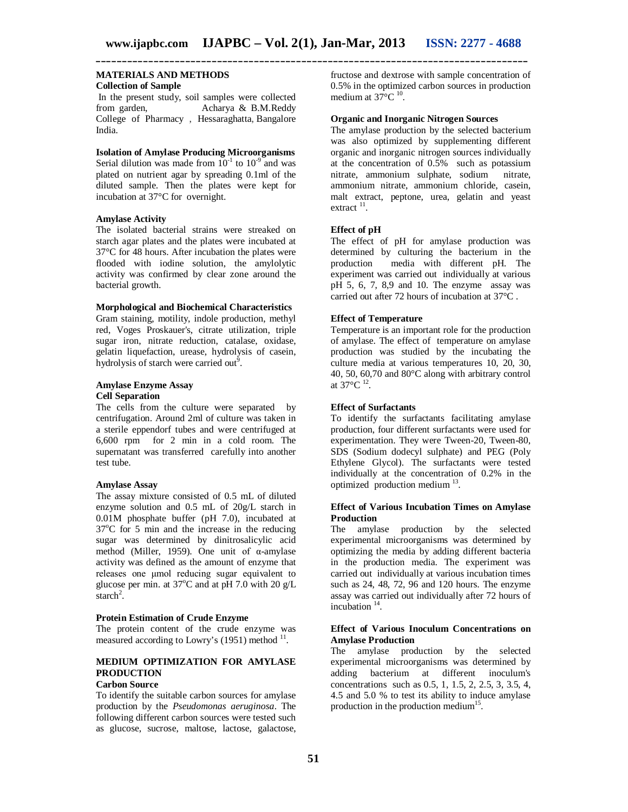#### **MATERIALS AND METHODS Collection of Sample**

In the present study, soil samples were collected from garden, Acharya & B.M.Reddy College of Pharmacy , Hessaraghatta, Bangalore India.

**Isolation of Amylase Producing Microorganisms** Serial dilution was made from  $10^{-1}$  to  $10^{-9}$  and was plated on nutrient agar by spreading 0.1ml of the diluted sample. Then the plates were kept for incubation at 37°C for overnight.

#### **Amylase Activity**

The isolated bacterial strains were streaked on starch agar plates and the plates were incubated at 37°C for 48 hours. After incubation the plates were flooded with iodine solution, the amylolytic activity was confirmed by clear zone around the bacterial growth.

#### **Morphological and Biochemical Characteristics**

Gram staining, motility, indole production, methyl red, Voges Proskauer's, citrate utilization, triple sugar iron, nitrate reduction, catalase, oxidase, gelatin liquefaction, urease, hydrolysis of casein, hydrolysis of starch were carried out<sup>9</sup>.

#### **Amylase Enzyme Assay Cell Separation**

The cells from the culture were separated by centrifugation. Around 2ml of culture was taken in a sterile eppendorf tubes and were centrifuged at 6,600 rpm for 2 min in a cold room. The supernatant was transferred carefully into another test tube.

#### **Amylase Assay**

The assay mixture consisted of 0.5 mL of diluted enzyme solution and 0.5 mL of 20g/L starch in 0.01M phosphate buffer (pH 7.0), incubated at  $37^{\circ}$ C for 5 min and the increase in the reducing sugar was determined by dinitrosalicylic acid method (Miller, 1959). One unit of α-amylase activity was defined as the amount of enzyme that releases one μmol reducing sugar equivalent to glucose per min. at  $37^{\circ}$ C and at pH 7.0 with 20 g/L  $\arch^2$ .

#### **Protein Estimation of Crude Enzyme**

The protein content of the crude enzyme was measured according to Lowry's  $(1951)$  method  $^{11}$ .

## **MEDIUM OPTIMIZATION FOR AMYLASE PRODUCTION**

## **Carbon Source**

To identify the suitable carbon sources for amylase production by the *Pseudomonas aeruginosa*. The following different carbon sources were tested such as glucose, sucrose, maltose, lactose, galactose,

fructose and dextrose with sample concentration of 0.5% in the optimized carbon sources in production medium at  $37^{\circ}$ C  $^{10}$ .

#### **Organic and Inorganic Nitrogen Sources**

The amylase production by the selected bacterium was also optimized by supplementing different organic and inorganic nitrogen sources individually at the concentration of 0.5% such as potassium nitrate, ammonium sulphate, sodium nitrate, ammonium nitrate, ammonium chloride, casein, malt extract, peptone, urea, gelatin and yeast  $extract$ <sup>11</sup>.

#### **Effect of pH**

The effect of pH for amylase production was determined by culturing the bacterium in the production media with different pH. The experiment was carried out individually at various pH 5, 6, 7, 8,9 and 10. The enzyme assay was carried out after 72 hours of incubation at 37°C .

#### **Effect of Temperature**

Temperature is an important role for the production of amylase. The effect of temperature on amylase production was studied by the incubating the culture media at various temperatures 10, 20, 30, 40, 50, 60,70 and 80°C along with arbitrary control at 37°C <sup>12</sup> .

#### **Effect of Surfactants**

To identify the surfactants facilitating amylase production, four different surfactants were used for experimentation. They were Tween-20, Tween-80, SDS (Sodium dodecyl sulphate) and PEG (Poly Ethylene Glycol). The surfactants were tested individually at the concentration of 0.2% in the optimized production medium<sup>13</sup>.

#### **Effect of Various Incubation Times on Amylase Production**

The amylase production by the selected experimental microorganisms was determined by optimizing the media by adding different bacteria in the production media. The experiment was carried out individually at various incubation times such as 24, 48, 72, 96 and 120 hours. The enzyme assay was carried out individually after 72 hours of incubation <sup>14</sup>.

#### **Effect of Various Inoculum Concentrations on Amylase Production**

The amylase production by the selected experimental microorganisms was determined by adding bacterium at different inoculum's concentrations such as 0.5, 1, 1.5, 2, 2.5, 3, 3.5, 4, 4.5 and 5.0 % to test its ability to induce amylase production in the production medium<sup>15</sup>.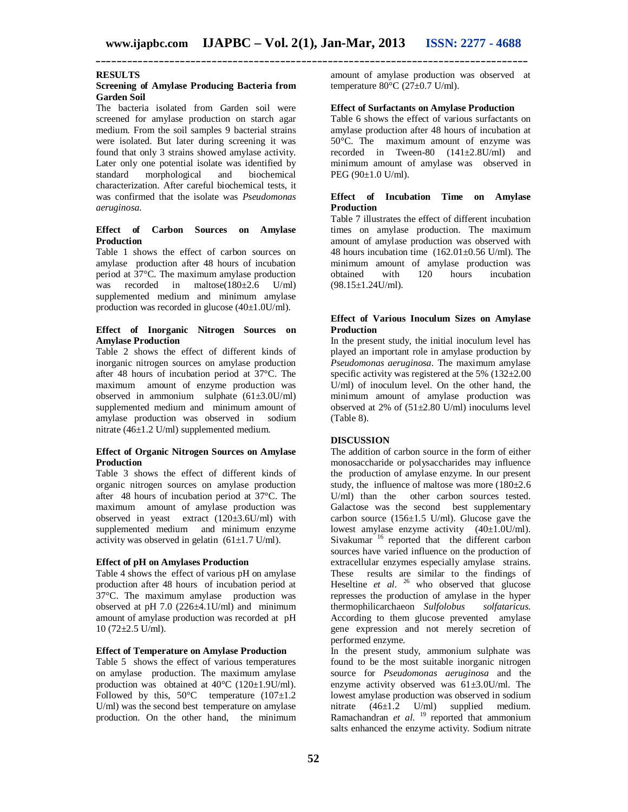#### **RESULTS**

#### **Screening of Amylase Producing Bacteria from Garden Soil**

The bacteria isolated from Garden soil were screened for amylase production on starch agar medium. From the soil samples 9 bacterial strains were isolated. But later during screening it was found that only 3 strains showed amylase activity. Later only one potential isolate was identified by standard morphological and biochemical morphological characterization. After careful biochemical tests, it was confirmed that the isolate was *Pseudomonas aeruginosa.*

#### **Effect of Carbon Sources on Amylase Production**

Table 1 shows the effect of carbon sources on amylase production after 48 hours of incubation period at 37°C. The maximum amylase production was recorded in maltose(180±2.6 U/ml) supplemented medium and minimum amylase production was recorded in glucose (40±1.0U/ml).

#### **Effect of Inorganic Nitrogen Sources on Amylase Production**

Table 2 shows the effect of different kinds of inorganic nitrogen sources on amylase production after 48 hours of incubation period at 37°C. The maximum amount of enzyme production was observed in ammonium sulphate  $(61\pm3.0$ U/ml) supplemented medium and minimum amount of amylase production was observed in sodium nitrate (46±1.2 U/ml) supplemented medium.

#### **Effect of Organic Nitrogen Sources on Amylase Production**

Table 3 shows the effect of different kinds of organic nitrogen sources on amylase production after 48 hours of incubation period at 37°C. The maximum amount of amylase production was observed in yeast extract  $(120\pm3.6$ U/ml) with supplemented medium and minimum enzyme activity was observed in gelatin  $(61\pm1.7 \text{ U/ml})$ .

#### **Effect of pH on Amylases Production**

Table 4 shows the effect of various pH on amylase production after 48 hours of incubation period at 37°C. The maximum amylase production was observed at pH 7.0  $(226 \pm 4.1$  U/ml) and minimum amount of amylase production was recorded at pH  $10$  (72 $\pm$ 2.5 U/ml).

#### **Effect of Temperature on Amylase Production**

Table 5 shows the effect of various temperatures on amylase production. The maximum amylase production was obtained at 40°C (120±1.9U/ml). Followed by this,  $50^{\circ}$ C temperature  $(107\pm1.2)$ U/ml) was the second best temperature on amylase production. On the other hand, the minimum amount of amylase production was observed at temperature  $80^{\circ}$ C (27 $\pm$ 0.7 U/ml).

#### **Effect of Surfactants on Amylase Production**

Table 6 shows the effect of various surfactants on amylase production after 48 hours of incubation at 50°C. The maximum amount of enzyme was recorded in Tween-80 (141±2.8U/ml) and minimum amount of amylase was observed in PEG (90±1.0 U/ml).

#### **Effect of Incubation Time on Amylase Production**

Table 7 illustrates the effect of different incubation times on amylase production. The maximum amount of amylase production was observed with 48 hours incubation time  $(162.01 \pm 0.56 \text{ U/ml})$ . The minimum amount of amylase production was obtained with 120 hours incubation  $(98.15 \pm 1.24$ U/ml).

#### **Effect of Various Inoculum Sizes on Amylase Production**

In the present study, the initial inoculum level has played an important role in amylase production by *Pseudomonas aeruginosa*. The maximum amylase specific activity was registered at the 5%  $(132 \pm 2.00)$ U/ml) of inoculum level. On the other hand, the minimum amount of amylase production was observed at 2% of  $(51\pm2.80 \text{ U/ml})$  inoculums level (Table 8).

#### **DISCUSSION**

The addition of carbon source in the form of either monosaccharide or polysaccharides may influence the production of amylase enzyme. In our present study, the influence of maltose was more (180±2.6 U/ml) than the other carbon sources tested. Galactose was the second best supplementary carbon source  $(156 \pm 1.5 \text{ U/ml})$ . Glucose gave the lowest amylase enzyme activity (40±1.0U/ml). Sivakumar<sup>16</sup> reported that the different carbon sources have varied influence on the production of extracellular enzymes especially amylase strains. These results are similar to the findings of Heseltine *et al.* <sup>26</sup> who observed that glucose represses the production of amylase in the hyper thermophilicarchaeon *Sulfolobus solfataricus.*  According to them glucose prevented amylase gene expression and not merely secretion of performed enzyme.

In the present study, ammonium sulphate was found to be the most suitable inorganic nitrogen source for *Pseudomonas aeruginosa* and the enzyme activity observed was  $61\pm3.0$ U/ml. The lowest amylase production was observed in sodium nitrate  $(46\pm1.2 \text{ U/ml})$  supplied medium. Ramachandran *et al.* <sup>19</sup> reported that ammonium salts enhanced the enzyme activity. Sodium nitrate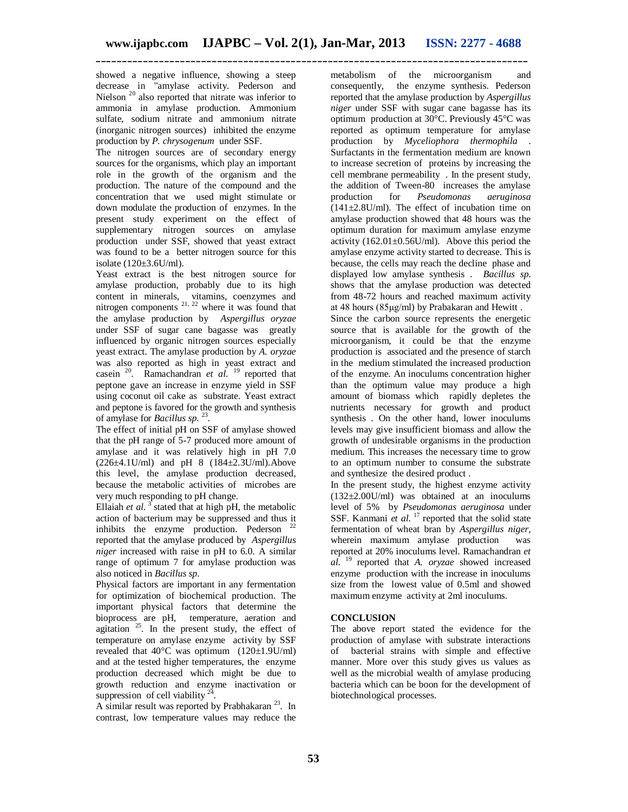showed a negative influence, showing a steep decrease in "amylase activity. Pederson and Nielson<sup>20</sup> also reported that nitrate was inferior to ammonia in amylase production. Ammonium sulfate, sodium nitrate and ammonium nitrate (inorganic nitrogen sources) inhibited the enzyme production by *P. chrysogenum* under SSF.

The nitrogen sources are of secondary energy sources for the organisms, which play an important role in the growth of the organism and the production. The nature of the compound and the concentration that we used might stimulate or down modulate the production of enzymes. In the present study experiment on the effect of supplementary nitrogen sources on amylase production under SSF, showed that yeast extract was found to be a better nitrogen source for this isolate (120±3.6U/ml).

Yeast extract is the best nitrogen source for amylase production, probably due to its high content in minerals, vitamins, coenzymes and nitrogen components  $2^{1, 22}$  where it was found that the amylase production by *Aspergillus oryzae*  under SSF of sugar cane bagasse was greatly influenced by organic nitrogen sources especially yeast extract. The amylase production by *A. oryzae*  was also reported as high in yeast extract and casein <sup>20</sup>. Ramachandran *et al.* <sup>19</sup> reported that peptone gave an increase in enzyme yield in SSF using coconut oil cake as substrate. Yeast extract and peptone is favored for the growth and synthesis of amylase for *Bacillus sp*. 23 .

The effect of initial pH on SSF of amylase showed that the pH range of 5-7 produced more amount of amylase and it was relatively high in pH 7.0  $(226\pm4.1$ U/ml) and pH 8  $(184\pm2.3$ U/ml). Above this level, the amylase production decreased, because the metabolic activities of microbes are very much responding to pH change.

Ellaiah *et al.*  $3$  stated that at high pH, the metabolic Efficial et al. stated thus in  $mg$ -  $r$ <br>action of bacterium may be suppressed and thus it inhibits the enzyme production. Pederson reported that the amylase produced by *Aspergillus niger* increased with raise in pH to 6.0. A similar range of optimum 7 for amylase production was also noticed in *Bacillus sp.* 

Physical factors are important in any fermentation for optimization of biochemical production. The important physical factors that determine the bioprocess are pH, temperature, aeration and agitation <sup>25</sup>. In the present study, the effect of temperature on amylase enzyme activity by SSF revealed that  $40^{\circ}$ C was optimum (120 $\pm$ 1.9U/ml) and at the tested higher temperatures, the enzyme production decreased which might be due to growth reduction and enzyme inactivation or suppression of cell viability  $24$ .

A similar result was reported by Prabhakaran  $^{23}$ . In contrast, low temperature values may reduce the

metabolism of the microorganism and consequently, the enzyme synthesis. Pederson reported that the amylase production by *Aspergillus niger* under SSF with sugar cane bagasse has its optimum production at 30°C. Previously 45°C was reported as optimum temperature for amylase production by *Myceliophora thermophila* . Surfactants in the fermentation medium are known to increase secretion of proteins by increasing the cell membrane permeability . In the present study, the addition of Tween-80 increases the amylase<br>production for *Pseudomonas aeruginosa* production for *Pseudomonas*  $(141\pm2.8$ U/ml). The effect of incubation time on amylase production showed that 48 hours was the optimum duration for maximum amylase enzyme activity  $(162.01 \pm 0.56$ U/ml). Above this period the amylase enzyme activity started to decrease. This is because, the cells may reach the decline phase and displayed low amylase synthesis . *Bacillus sp*. shows that the amylase production was detected from 48-72 hours and reached maximum activity at 48 hours (85μg/ml) by Prabakaran and Hewitt .

Since the carbon source represents the energetic source that is available for the growth of the microorganism, it could be that the enzyme production is associated and the presence of starch in the medium stimulated the increased production of the enzyme. An inoculums concentration higher than the optimum value may produce a high amount of biomass which rapidly depletes the nutrients necessary for growth and product synthesis . On the other hand, lower inoculums levels may give insufficient biomass and allow the growth of undesirable organisms in the production medium. This increases the necessary time to grow to an optimum number to consume the substrate and synthesize the desired product .

In the present study, the highest enzyme activity (132±2.00U/ml) was obtained at an inoculums level of 5% by *Pseudomonas aeruginosa* under SSF. Kanmani *et al.* <sup>17</sup> reported that the solid state fermentation of wheat bran by *Aspergillus niger,*  wherein maximum amylase production was reported at 20% inoculums level. Ramachandran *et al.* <sup>19</sup> reported that *A. oryzae* showed increased enzyme production with the increase in inoculums size from the lowest value of 0.5ml and showed maximum enzyme activity at 2ml inoculums.

## **CONCLUSION**

The above report stated the evidence for the production of amylase with substrate interactions of bacterial strains with simple and effective manner. More over this study gives us values as well as the microbial wealth of amylase producing bacteria which can be boon for the development of biotechnological processes.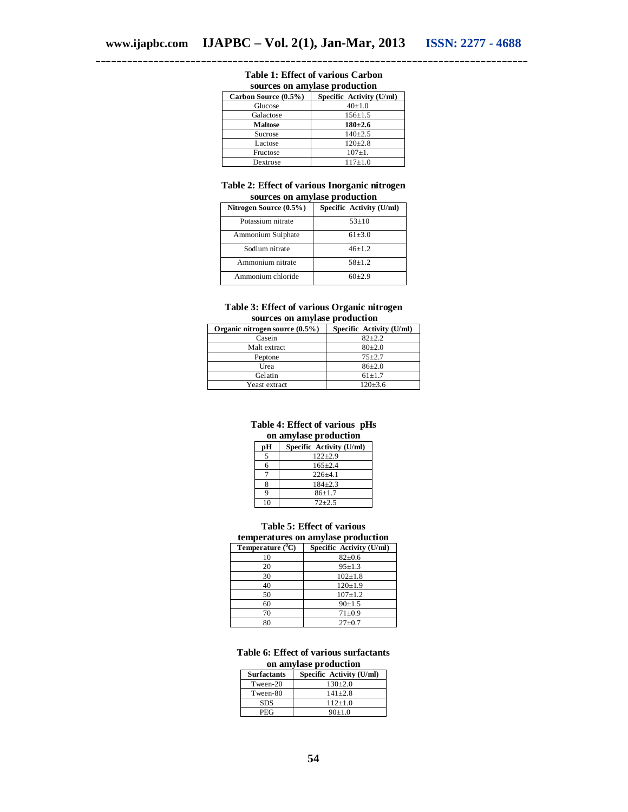| sources on amylase production |                          |  |
|-------------------------------|--------------------------|--|
| Carbon Source (0.5%)          | Specific Activity (U/ml) |  |
| Glucose                       | $40+1.0$                 |  |
| Galactose                     | $156 \pm 1.5$            |  |
| <b>Maltose</b>                | $180 + 2.6$              |  |
| Sucrose                       | $140+2.5$                |  |
| Lactose                       | $120 \pm 2.8$            |  |
| Fructose                      | $107 \pm 1.$             |  |
| Dextrose                      | $117+1.0$                |  |

## **Table 1: Effect of various Carbon**

#### **Table 2: Effect of various Inorganic nitrogen sources on amylase production**

| Nitrogen Source (0.5%) | Specific Activity (U/ml) |
|------------------------|--------------------------|
| Potassium nitrate      | $53+10$                  |
| Ammonium Sulphate      | $61 + 3.0$               |
| Sodium nitrate         | $46+1.2$                 |
| Ammonium nitrate       | $58+1.2$                 |
| Ammonium chloride      | $60+2.9$                 |

#### **Table 3: Effect of various Organic nitrogen sources on amylase production**

| Organic nitrogen source (0.5%) | Specific Activity (U/ml) |
|--------------------------------|--------------------------|
| Casein                         | $82 + 2.2$               |
| Malt extract                   | $80+2.0$                 |
| Peptone                        | $75 + 2.7$               |
| Urea                           | $86{\pm}2.0$             |
| Gelatin                        | $61 \pm 1.7$             |
| Yeast extract                  | $120 \pm 3.6$            |

#### **Table 4: Effect of various pHs on amylase production**

| рH | Specific Activity (U/ml) |
|----|--------------------------|
|    | $122 + 2.9$              |
| 6  | $165 + 2.4$              |
|    | $226+4.1$                |
|    | $184 + 2.3$              |
|    | $86+1.7$                 |
|    | $72 + 2.5$               |

#### **Table 5: Effect of various temperatures on amylase production**

| Temperature $(^0C)$ | Specific Activity (U/ml) |
|---------------------|--------------------------|
| 10                  | $82 \pm 0.6$             |
| 20                  | $95 \pm 1.3$             |
| 30                  | $102 \pm 1.8$            |
| 40                  | $120+1.9$                |
| 50                  | $107 + 1.2$              |
| 60                  | $90+1.5$                 |
| 70                  | $71 + 0.9$               |
| 80                  | $27 \pm 0.7$             |

#### **Table 6: Effect of various surfactants on amylase production**

| <b>Surfactants</b> | Specific Activity (U/ml) |
|--------------------|--------------------------|
| Tween-20           | $130+2.0$                |
| Tween-80           | $141 + 2.8$              |
| <b>SDS</b>         | $112+1.0$                |
| PEG                | $90+1.0$                 |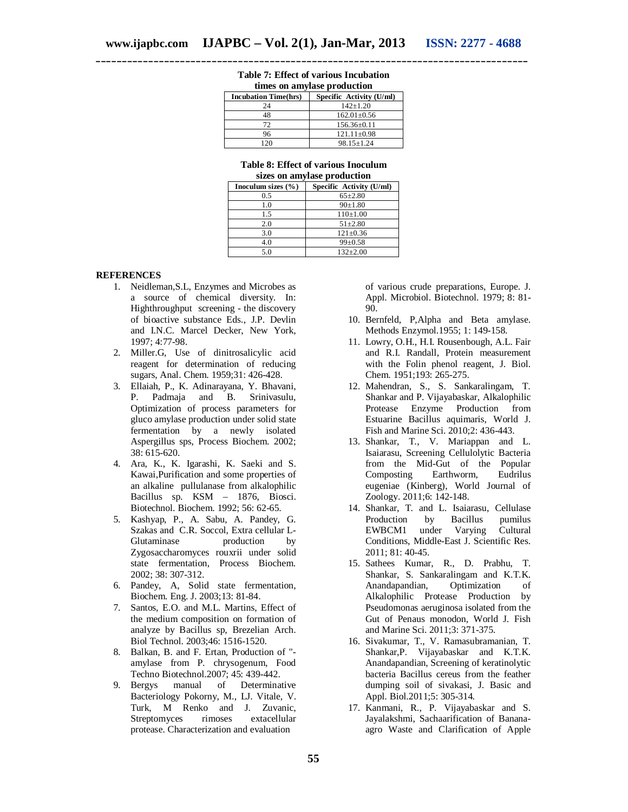| times on amylase production |                          |
|-----------------------------|--------------------------|
| <b>Incubation Time(hrs)</b> | Specific Activity (U/ml) |
| 24                          | $142+1.20$               |
| 48                          | $162.01 \pm 0.56$        |
| 72                          | $156.36 \pm 0.11$        |
| 96                          | $121.11 \pm 0.98$        |
| 20                          | $98.15 \pm 1.24$         |

#### **Table 7: Effect of various Incubation times on amylase production**

| Table 8: Effect of various Inoculum |  |
|-------------------------------------|--|
| sizes on amylose production         |  |

| sizes on aniviase production |                          |
|------------------------------|--------------------------|
| Inoculum sizes $(\% )$       | Specific Activity (U/ml) |
| 0.5                          | $65 \pm 2.80$            |
| 1.0                          | $90+1.80$                |
| 1.5                          | $110\pm1.00$             |
| 2.0                          | $51 + 2.80$              |
| 3.0                          | $121 \pm 0.36$           |
| 4.0                          | $99 \pm 0.58$            |
| 5.0                          | $132 \pm 2.00$           |

#### **REFERENCES**

- 1. Neidleman,S.L, Enzymes and Microbes as a source of chemical diversity. In: Highthroughput screening - the discovery of bioactive substance Eds., J.P. Devlin and I.N.C. Marcel Decker, New York, 1997; 4:77-98.
- 2. Miller.G, Use of dinitrosalicylic acid reagent for determination of reducing sugars, Anal. Chem. 1959;31: 426-428.
- 3. Ellaiah, P., K. Adinarayana, Y. Bhavani, P. Padmaja and B. Srinivasulu, Optimization of process parameters for gluco amylase production under solid state fermentation by a newly isolated Aspergillus sps, Process Biochem. 2002; 38: 615-620.
- 4. Ara, K., K. Igarashi, K. Saeki and S. Kawai,Purification and some properties of an alkaline pullulanase from alkalophilic Bacillus sp. KSM – 1876, Biosci. Biotechnol. Biochem. 1992; 56: 62-65.
- 5. Kashyap, P., A. Sabu, A. Pandey, G. Szakas and C.R. Soccol, Extra cellular L-Glutaminase production by Zygosaccharomyces rouxrii under solid state fermentation, Process Biochem. 2002; 38: 307-312.
- 6. Pandey, A, Solid state fermentation, Biochem. Eng. J. 2003;13: 81-84.
- 7. Santos, E.O. and M.L. Martins, Effect of the medium composition on formation of analyze by Bacillus sp, Brezelian Arch. Biol Technol. 2003;46: 1516-1520.
- 8. Balkan, B. and F. Ertan, Production of " amylase from P. chrysogenum, Food Techno Biotechnol.2007; 45: 439-442.
- 9. Bergys manual of Determinative Bacteriology Pokorny, M., LJ. Vitale, V. Turk, M Renko and J. Zuvanic, Streptomyces rimoses extacellular protease. Characterization and evaluation

of various crude preparations, Europe. J. Appl. Microbiol. Biotechnol. 1979; 8: 81- 90.

- 10. Bernfeld, P,Alpha and Beta amylase. Methods Enzymol.1955; 1: 149-158.
- 11. Lowry, O.H., H.I. Rousenbough, A.L. Fair and R.I. Randall, Protein measurement with the Folin phenol reagent, J. Biol. Chem. 1951;193: 265-275.
- 12. Mahendran, S., S. Sankaralingam, T. Shankar and P. Vijayabaskar, Alkalophilic Protease Enzyme Production from Estuarine Bacillus aquimaris, World J. Fish and Marine Sci. 2010;2: 436-443.
- 13. Shankar, T., V. Mariappan and L. Isaiarasu, Screening Cellulolytic Bacteria from the Mid-Gut of the Popular<br>Composting Earthworm, Eudrilus Composting eugeniae (Kinberg), World Journal of Zoology. 2011;6: 142-148.
- 14. Shankar, T. and L. Isaiarasu, Cellulase Production by Bacillus pumilus EWBCM1 under Varying Cultural Conditions, Middle-East J. Scientific Res. 2011; 81: 40-45.
- 15. Sathees Kumar, R., D. Prabhu, T. Shankar, S. Sankaralingam and K.T.K.<br>Anandapandian, Optimization of Anandapandian, Optimization of Alkalophilic Protease Production by Pseudomonas aeruginosa isolated from the Gut of Penaus monodon, World J. Fish and Marine Sci. 2011;3: 371-375.
- 16. Sivakumar, T., V. Ramasubramanian, T. Shankar,P. Vijayabaskar and K.T.K. Anandapandian, Screening of keratinolytic bacteria Bacillus cereus from the feather dumping soil of sivakasi, J. Basic and Appl. Biol.2011;5: 305-314.
- 17. Kanmani, R., P. Vijayabaskar and S. Jayalakshmi, Sachaarification of Bananaagro Waste and Clarification of Apple